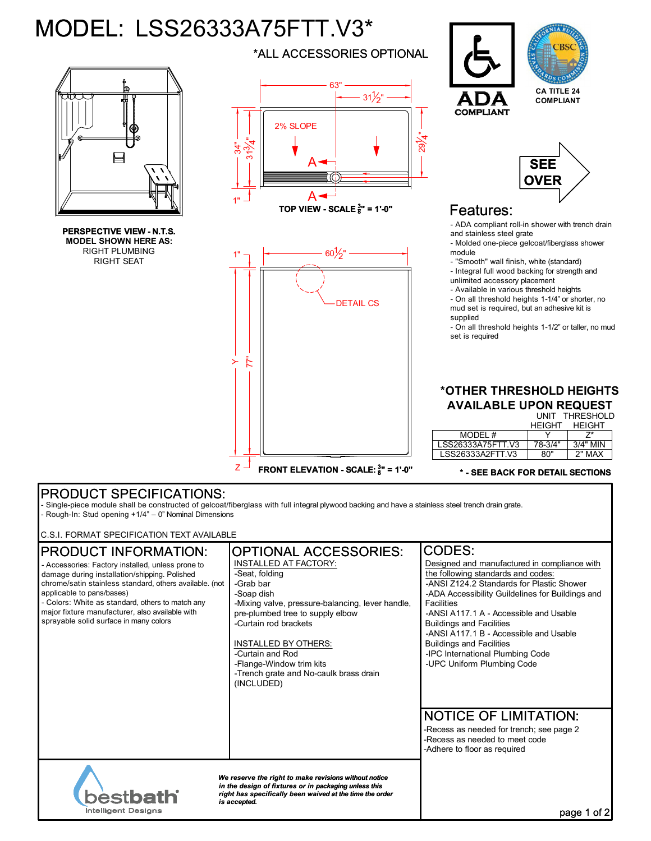# MODEL: LSS26333A75FTT.V3\*



**PERSPECTIVE VIEW - N.T.S. MODEL SHOWN HERE AS:** RIGHT PLUMBING RIGHT SEAT

\*ALL ACCESSORIES OPTIONAL



**TOP VIEW - SCALE <sup>3</sup> 8 " = 1'-0"**





**CA TITLE 24 COMPLIANT**

# Features:

**COMPLIAN** 

- ADA compliant roll-in shower with trench drain and stainless steel grate

- Molded one-piece gelcoat/fiberglass shower module

- "Smooth" wall finish, white (standard) - Integral full wood backing for strength and

unlimited accessory placement

- Available in various threshold heights

- On all threshold heights 1-1/4" or shorter, no mud set is required, but an adhesive kit is supplied

- On all threshold heights 1-1/2" or taller, no mud set is required

#### UNIT THRESHOLD **\*OTHER THRESHOLD HEIGHTS AVAILABLE UPON REQUEST**

HEIGHT

|                   | <b>HFIGHT</b> | <b>HFIGHT</b> |
|-------------------|---------------|---------------|
| MODEL #           |               |               |
| LSS26333A75FTT V3 | 78-3/4"       | $3/4"$ MIN    |
| LSS26333A2FTT V3  | ጸበ"           | 2" MAX        |
|                   |               |               |

#### **\* - SEE BACK FOR DETAIL SECTIONS**

## PRODUCT SPECIFICATIONS:

- Single-piece module shall be constructed of gelcoat/fiberglass with full integral plywood backing and have a stainless steel trench drain grate. - Rough-In: Stud opening +1/4" – 0" Nominal Dimensions

C.S.I. FORMAT SPECIFICATION TEXT AVAILABLE

# PRODUCT INFORMATION:

- Accessories: Factory installed, unless prone to damage during installation/shipping. Polished chrome/satin stainless standard, others available. (not applicable to pans/bases)

- Colors: White as standard, others to match any major fixture manufacturer, also available with sprayable solid surface in many colors

# OPTIONAL ACCESSORIES: CODES:

INSTALLED AT FACTORY: -Seat, folding -Grab bar -Soap dish -Mixing valve, pressure-balancing, lever handle, pre-plumbed tree to supply elbow -Curtain rod brackets

### INSTALLED BY OTHERS:

-Curtain and Rod -Flange-Window trim kits -Trench grate and No-caulk brass drain (INCLUDED)

Designed and manufactured in compliance with the following standards and codes: -ANSI Z124.2 Standards for Plastic Shower -ADA Accessibility Guildelines for Buildings and **Facilities** -ANSI A117.1 A - Accessible and Usable

Buildings and Facilities -ANSI A117.1 B - Accessible and Usable

Buildings and Facilities -IPC International Plumbing Code

-UPC Uniform Plumbing Code

# NOTICE OF LIMITATION:

-Recess as needed for trench; see page 2 -Recess as needed to meet code -Adhere to floor as required



*We reserve the right to make revisions without notice in the design of fixtures or in packaging unless this right has specifically been waived at the time the order is accepted.*